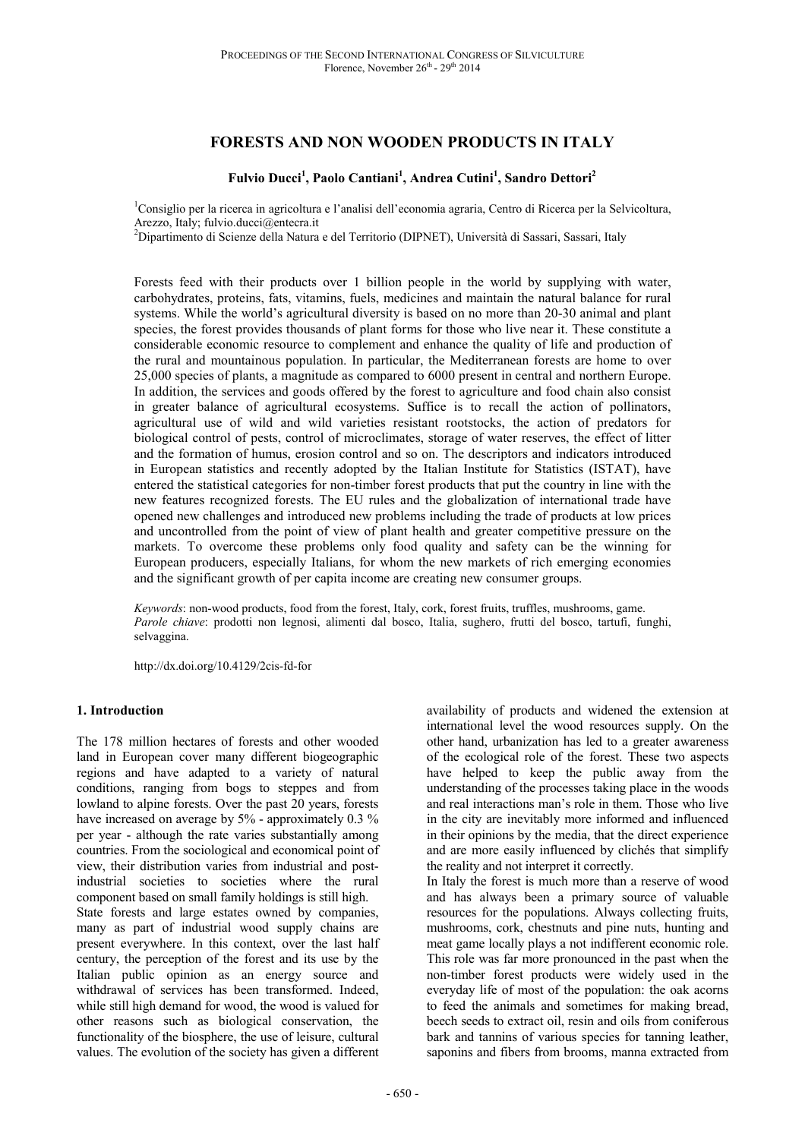# **FORESTS AND NON WOODEN PRODUCTS IN ITALY**

# **Fulvio Ducci<sup>1</sup> , Paolo Cantiani<sup>1</sup> , Andrea Cutini<sup>1</sup> , Sandro Dettori<sup>2</sup>**

<sup>1</sup>Consiglio per la ricerca in agricoltura e l'analisi dell'economia agraria, Centro di Ricerca per la Selvicoltura, Arezzo, Italy; fulvio.ducci@entecra.it

 $2$ Dipartimento di Scienze della Natura e del Territorio (DIPNET), Università di Sassari, Sassari, Italy

Forests feed with their products over 1 billion people in the world by supplying with water, carbohydrates, proteins, fats, vitamins, fuels, medicines and maintain the natural balance for rural systems. While the world's agricultural diversity is based on no more than 20-30 animal and plant species, the forest provides thousands of plant forms for those who live near it. These constitute a considerable economic resource to complement and enhance the quality of life and production of the rural and mountainous population. In particular, the Mediterranean forests are home to over 25,000 species of plants, a magnitude as compared to 6000 present in central and northern Europe. In addition, the services and goods offered by the forest to agriculture and food chain also consist in greater balance of agricultural ecosystems. Suffice is to recall the action of pollinators, agricultural use of wild and wild varieties resistant rootstocks, the action of predators for biological control of pests, control of microclimates, storage of water reserves, the effect of litter and the formation of humus, erosion control and so on. The descriptors and indicators introduced in European statistics and recently adopted by the Italian Institute for Statistics (ISTAT), have entered the statistical categories for non-timber forest products that put the country in line with the new features recognized forests. The EU rules and the globalization of international trade have opened new challenges and introduced new problems including the trade of products at low prices and uncontrolled from the point of view of plant health and greater competitive pressure on the markets. To overcome these problems only food quality and safety can be the winning for European producers, especially Italians, for whom the new markets of rich emerging economies and the significant growth of per capita income are creating new consumer groups.

*Keywords*: non-wood products, food from the forest, Italy, cork, forest fruits, truffles, mushrooms, game. *Parole chiave*: prodotti non legnosi, alimenti dal bosco, Italia, sughero, frutti del bosco, tartufi, funghi, selvaggina.

http://dx.doi.org/10.4129/2cis-fd-for

## **1. Introduction**

The 178 million hectares of forests and other wooded land in European cover many different biogeographic regions and have adapted to a variety of natural conditions, ranging from bogs to steppes and from lowland to alpine forests. Over the past 20 years, forests have increased on average by 5% - approximately 0.3 % per year - although the rate varies substantially among countries. From the sociological and economical point of view, their distribution varies from industrial and postindustrial societies to societies where the rural component based on small family holdings is still high. State forests and large estates owned by companies, many as part of industrial wood supply chains are present everywhere. In this context, over the last half century, the perception of the forest and its use by the

Italian public opinion as an energy source and withdrawal of services has been transformed. Indeed, while still high demand for wood, the wood is valued for other reasons such as biological conservation, the functionality of the biosphere, the use of leisure, cultural values. The evolution of the society has given a different

availability of products and widened the extension at international level the wood resources supply. On the other hand, urbanization has led to a greater awareness of the ecological role of the forest. These two aspects have helped to keep the public away from the understanding of the processes taking place in the woods and real interactions man's role in them. Those who live in the city are inevitably more informed and influenced in their opinions by the media, that the direct experience and are more easily influenced by clichés that simplify the reality and not interpret it correctly.

In Italy the forest is much more than a reserve of wood and has always been a primary source of valuable resources for the populations. Always collecting fruits, mushrooms, cork, chestnuts and pine nuts, hunting and meat game locally plays a not indifferent economic role. This role was far more pronounced in the past when the non-timber forest products were widely used in the everyday life of most of the population: the oak acorns to feed the animals and sometimes for making bread, beech seeds to extract oil, resin and oils from coniferous bark and tannins of various species for tanning leather, saponins and fibers from brooms, manna extracted from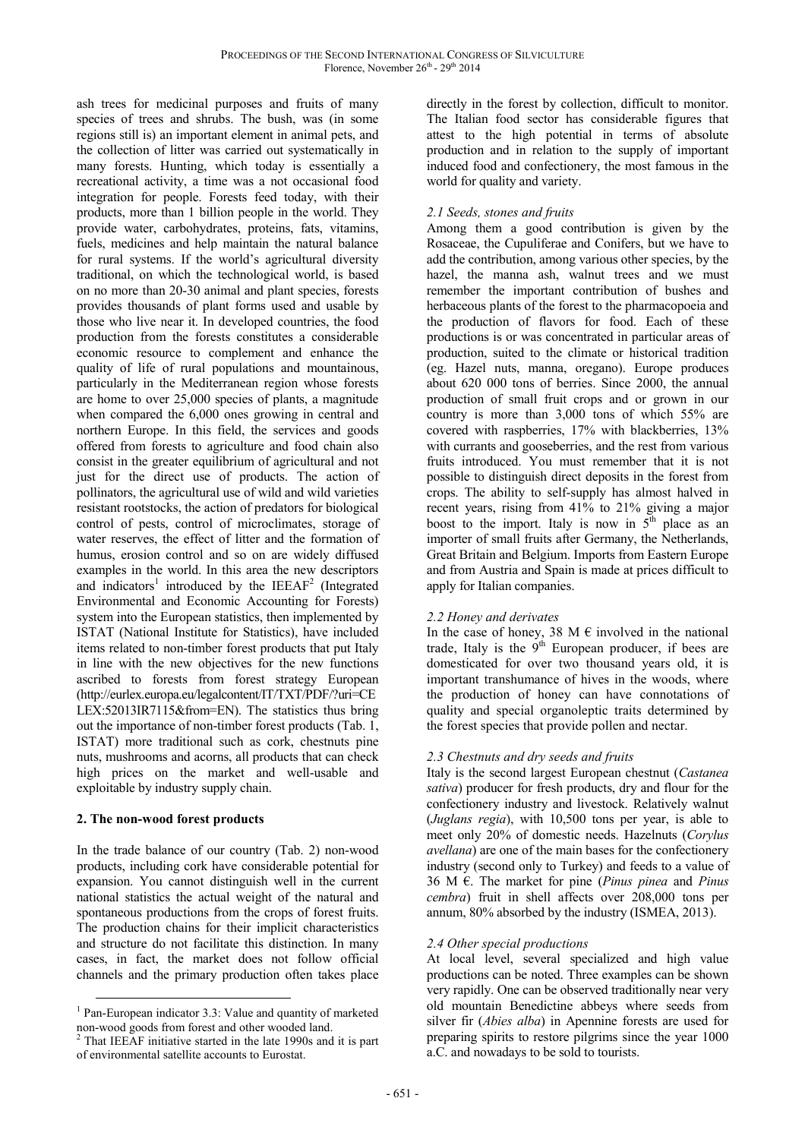ash trees for medicinal purposes and fruits of many species of trees and shrubs. The bush, was (in some regions still is) an important element in animal pets, and the collection of litter was carried out systematically in many forests. Hunting, which today is essentially a recreational activity, a time was a not occasional food integration for people. Forests feed today, with their products, more than 1 billion people in the world. They provide water, carbohydrates, proteins, fats, vitamins, fuels, medicines and help maintain the natural balance for rural systems. If the world's agricultural diversity traditional, on which the technological world, is based on no more than 20-30 animal and plant species, forests provides thousands of plant forms used and usable by those who live near it. In developed countries, the food production from the forests constitutes a considerable economic resource to complement and enhance the quality of life of rural populations and mountainous, particularly in the Mediterranean region whose forests are home to over 25,000 species of plants, a magnitude when compared the 6,000 ones growing in central and northern Europe. In this field, the services and goods offered from forests to agriculture and food chain also consist in the greater equilibrium of agricultural and not just for the direct use of products. The action of pollinators, the agricultural use of wild and wild varieties resistant rootstocks, the action of predators for biological control of pests, control of microclimates, storage of water reserves, the effect of litter and the formation of humus, erosion control and so on are widely diffused examples in the world. In this area the new descriptors and indicators<sup>1</sup> introduced by the IEEAF<sup>2</sup> (Integrated Environmental and Economic Accounting for Forests) system into the European statistics, then implemented by ISTAT (National Institute for Statistics), have included items related to non-timber forest products that put Italy in line with the new objectives for the new functions ascribed to forests from forest strategy European (http://eurlex.europa.eu/legalcontent/IT/TXT/PDF/?uri=CE LEX:52013IR7115&from=EN). The statistics thus bring out the importance of non-timber forest products (Tab. 1, ISTAT) more traditional such as cork, chestnuts pine nuts, mushrooms and acorns, all products that can check high prices on the market and well-usable and exploitable by industry supply chain.

# **2. The non-wood forest products**

 $\overline{a}$ 

In the trade balance of our country (Tab. 2) non-wood products, including cork have considerable potential for expansion. You cannot distinguish well in the current national statistics the actual weight of the natural and spontaneous productions from the crops of forest fruits. The production chains for their implicit characteristics and structure do not facilitate this distinction. In many cases, in fact, the market does not follow official channels and the primary production often takes place directly in the forest by collection, difficult to monitor. The Italian food sector has considerable figures that attest to the high potential in terms of absolute production and in relation to the supply of important induced food and confectionery, the most famous in the world for quality and variety.

## *2.1 Seeds, stones and fruits*

Among them a good contribution is given by the Rosaceae, the Cupuliferae and Conifers, but we have to add the contribution, among various other species, by the hazel, the manna ash, walnut trees and we must remember the important contribution of bushes and herbaceous plants of the forest to the pharmacopoeia and the production of flavors for food. Each of these productions is or was concentrated in particular areas of production, suited to the climate or historical tradition (eg. Hazel nuts, manna, oregano). Europe produces about 620 000 tons of berries. Since 2000, the annual production of small fruit crops and or grown in our country is more than 3,000 tons of which 55% are covered with raspberries, 17% with blackberries, 13% with currants and gooseberries, and the rest from various fruits introduced. You must remember that it is not possible to distinguish direct deposits in the forest from crops. The ability to self-supply has almost halved in recent years, rising from 41% to 21% giving a major boost to the import. Italy is now in  $5<sup>th</sup>$  place as an importer of small fruits after Germany, the Netherlands, Great Britain and Belgium. Imports from Eastern Europe and from Austria and Spain is made at prices difficult to apply for Italian companies.

# *2.2 Honey and derivates*

In the case of honey, 38 M  $\epsilon$  involved in the national trade, Italy is the  $9<sup>th</sup>$  European producer, if bees are domesticated for over two thousand years old, it is important transhumance of hives in the woods, where the production of honey can have connotations of quality and special organoleptic traits determined by the forest species that provide pollen and nectar.

## *2.3 Chestnuts and dry seeds and fruits*

Italy is the second largest European chestnut (*Castanea sativa*) producer for fresh products, dry and flour for the confectionery industry and livestock. Relatively walnut (*Juglans regia*), with 10,500 tons per year, is able to meet only 20% of domestic needs. Hazelnuts (*Corylus avellana*) are one of the main bases for the confectionery industry (second only to Turkey) and feeds to a value of 36 M €. The market for pine (*Pinus pinea* and *Pinus cembra*) fruit in shell affects over 208,000 tons per annum, 80% absorbed by the industry (ISMEA, 2013).

## *2.4 Other special productions*

At local level, several specialized and high value productions can be noted. Three examples can be shown very rapidly. One can be observed traditionally near very old mountain Benedictine abbeys where seeds from silver fir (*Abies alba*) in Apennine forests are used for preparing spirits to restore pilgrims since the year 1000 a.C. and nowadays to be sold to tourists.

<sup>&</sup>lt;sup>1</sup> Pan-European indicator 3.3: Value and quantity of marketed non-wood goods from forest and other wooded land.<br>
<sup>2</sup> That IEEAE initiative started in the late 1990s and

That IEEAF initiative started in the late 1990s and it is part of environmental satellite accounts to Eurostat.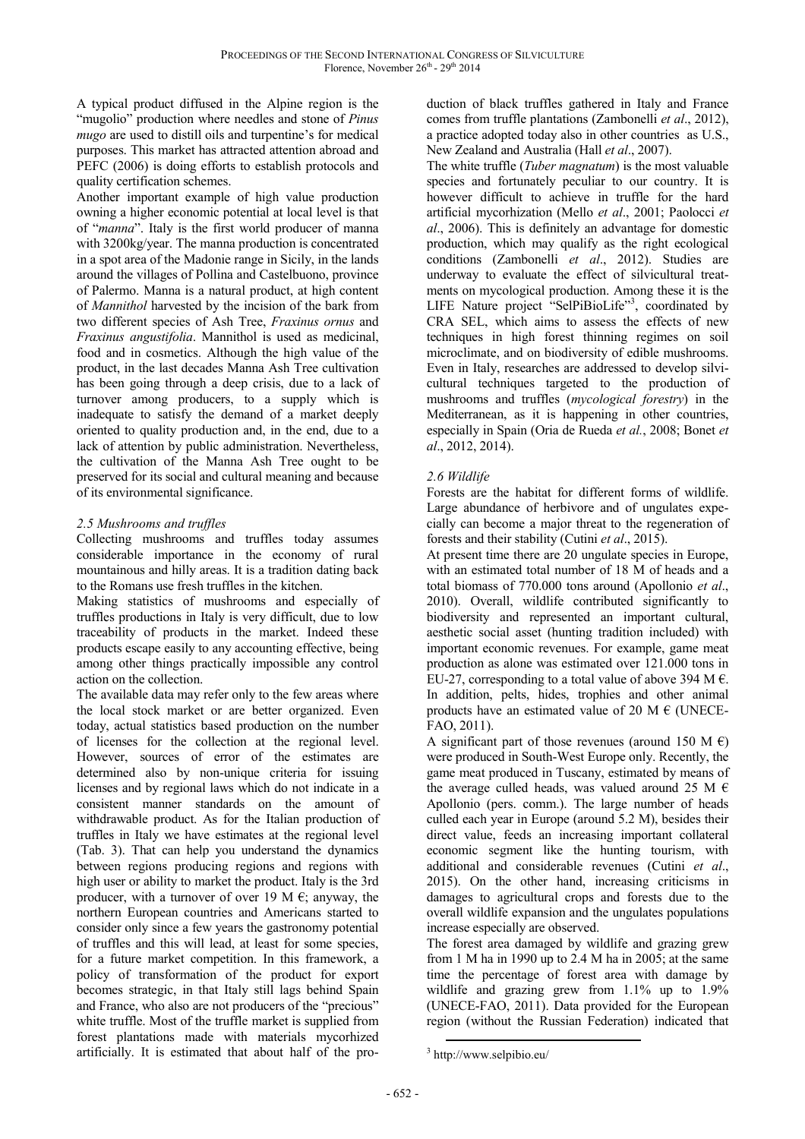A typical product diffused in the Alpine region is the "mugolio" production where needles and stone of *Pinus mugo* are used to distill oils and turpentine's for medical purposes. This market has attracted attention abroad and PEFC (2006) is doing efforts to establish protocols and quality certification schemes.

Another important example of high value production owning a higher economic potential at local level is that of "*manna*". Italy is the first world producer of manna with 3200kg/year. The manna production is concentrated in a spot area of the Madonie range in Sicily, in the lands around the villages of Pollina and Castelbuono, province of Palermo. Manna is a natural product, at high content of *Mannithol* harvested by the incision of the bark from two different species of Ash Tree, *Fraxinus ornus* and *Fraxinus angustifolia*. Mannithol is used as medicinal, food and in cosmetics. Although the high value of the product, in the last decades Manna Ash Tree cultivation has been going through a deep crisis, due to a lack of turnover among producers, to a supply which is inadequate to satisfy the demand of a market deeply oriented to quality production and, in the end, due to a lack of attention by public administration. Nevertheless, the cultivation of the Manna Ash Tree ought to be preserved for its social and cultural meaning and because of its environmental significance.

# *2.5 Mushrooms and truffles*

Collecting mushrooms and truffles today assumes considerable importance in the economy of rural mountainous and hilly areas. It is a tradition dating back to the Romans use fresh truffles in the kitchen.

Making statistics of mushrooms and especially of truffles productions in Italy is very difficult, due to low traceability of products in the market. Indeed these products escape easily to any accounting effective, being among other things practically impossible any control action on the collection.

The available data may refer only to the few areas where the local stock market or are better organized. Even today, actual statistics based production on the number of licenses for the collection at the regional level. However, sources of error of the estimates are determined also by non-unique criteria for issuing licenses and by regional laws which do not indicate in a consistent manner standards on the amount of withdrawable product. As for the Italian production of truffles in Italy we have estimates at the regional level (Tab. 3). That can help you understand the dynamics between regions producing regions and regions with high user or ability to market the product. Italy is the 3rd producer, with a turnover of over 19 M  $\epsilon$ ; anyway, the northern European countries and Americans started to consider only since a few years the gastronomy potential of truffles and this will lead, at least for some species, for a future market competition. In this framework, a policy of transformation of the product for export becomes strategic, in that Italy still lags behind Spain and France, who also are not producers of the "precious" white truffle. Most of the truffle market is supplied from forest plantations made with materials mycorhized artificially. It is estimated that about half of the production of black truffles gathered in Italy and France comes from truffle plantations (Zambonelli *et al*., 2012), a practice adopted today also in other countries as U.S., New Zealand and Australia (Hall *et al*., 2007).

The white truffle (*Tuber magnatum*) is the most valuable species and fortunately peculiar to our country. It is however difficult to achieve in truffle for the hard artificial mycorhization (Mello *et al*., 2001; Paolocci *et al*., 2006). This is definitely an advantage for domestic production, which may qualify as the right ecological conditions (Zambonelli *et al*., 2012). Studies are underway to evaluate the effect of silvicultural treatments on mycological production. Among these it is the LIFE Nature project "SelPiBioLife"<sup>3</sup>, coordinated by CRA SEL, which aims to assess the effects of new techniques in high forest thinning regimes on soil microclimate, and on biodiversity of edible mushrooms. Even in Italy, researches are addressed to develop silvicultural techniques targeted to the production of mushrooms and truffles (*mycological forestry*) in the Mediterranean, as it is happening in other countries, especially in Spain (Oria de Rueda *et al.*, 2008; Bonet *et al*., 2012, 2014).

# *2.6 Wildlife*

Forests are the habitat for different forms of wildlife. Large abundance of herbivore and of ungulates expecially can become a major threat to the regeneration of forests and their stability (Cutini *et al*., 2015).

At present time there are 20 ungulate species in Europe, with an estimated total number of 18 M of heads and a total biomass of 770.000 tons around (Apollonio *et al*., 2010). Overall, wildlife contributed significantly to biodiversity and represented an important cultural, aesthetic social asset (hunting tradition included) with important economic revenues. For example, game meat production as alone was estimated over 121.000 tons in EU-27, corresponding to a total value of above 394 M  $\epsilon$ . In addition, pelts, hides, trophies and other animal products have an estimated value of 20 M  $\epsilon$  (UNECE-FAO, 2011).

A significant part of those revenues (around 150 M  $\epsilon$ ) were produced in South-West Europe only. Recently, the game meat produced in Tuscany, estimated by means of the average culled heads, was valued around 25 M  $\epsilon$ Apollonio (pers. comm.). The large number of heads culled each year in Europe (around 5.2 M), besides their direct value, feeds an increasing important collateral economic segment like the hunting tourism, with additional and considerable revenues (Cutini *et al*., 2015). On the other hand, increasing criticisms in damages to agricultural crops and forests due to the overall wildlife expansion and the ungulates populations increase especially are observed.

The forest area damaged by wildlife and grazing grew from 1 M ha in 1990 up to 2.4 M ha in 2005; at the same time the percentage of forest area with damage by wildlife and grazing grew from 1.1% up to 1.9% (UNECE-FAO, 2011). Data provided for the European region (without the Russian Federation) indicated that

 $\overline{a}$ 3 http://www.selpibio.eu/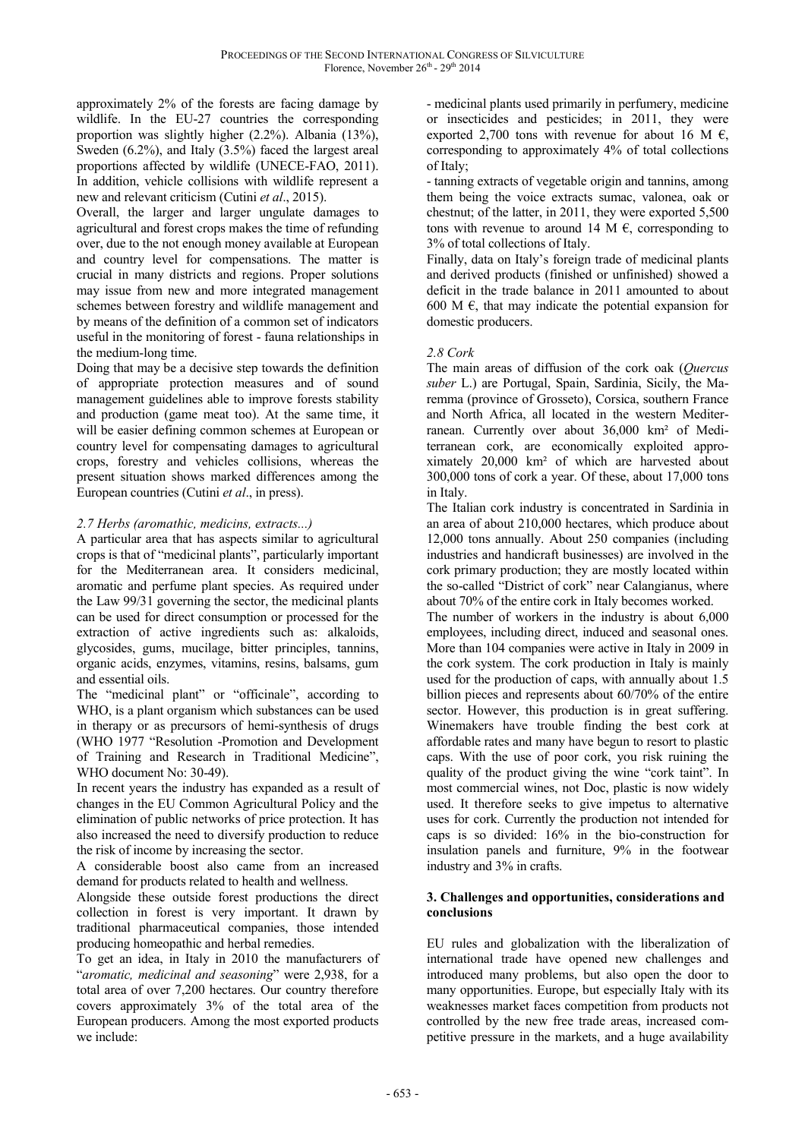approximately 2% of the forests are facing damage by wildlife. In the EU-27 countries the corresponding proportion was slightly higher (2.2%). Albania (13%), Sweden (6.2%), and Italy (3.5%) faced the largest areal proportions affected by wildlife (UNECE-FAO, 2011). In addition, vehicle collisions with wildlife represent a new and relevant criticism (Cutini *et al*., 2015).

Overall, the larger and larger ungulate damages to agricultural and forest crops makes the time of refunding over, due to the not enough money available at European and country level for compensations. The matter is crucial in many districts and regions. Proper solutions may issue from new and more integrated management schemes between forestry and wildlife management and by means of the definition of a common set of indicators useful in the monitoring of forest - fauna relationships in the medium-long time.

Doing that may be a decisive step towards the definition of appropriate protection measures and of sound management guidelines able to improve forests stability and production (game meat too). At the same time, it will be easier defining common schemes at European or country level for compensating damages to agricultural crops, forestry and vehicles collisions, whereas the present situation shows marked differences among the European countries (Cutini *et al*., in press).

# *2.7 Herbs (aromathic, medicins, extracts...)*

A particular area that has aspects similar to agricultural crops is that of "medicinal plants", particularly important for the Mediterranean area. It considers medicinal, aromatic and perfume plant species. As required under the Law 99/31 governing the sector, the medicinal plants can be used for direct consumption or processed for the extraction of active ingredients such as: alkaloids, glycosides, gums, mucilage, bitter principles, tannins, organic acids, enzymes, vitamins, resins, balsams, gum and essential oils.

The "medicinal plant" or "officinale", according to WHO, is a plant organism which substances can be used in therapy or as precursors of hemi-synthesis of drugs (WHO 1977 "Resolution -Promotion and Development of Training and Research in Traditional Medicine", WHO document No: 30-49).

In recent years the industry has expanded as a result of changes in the EU Common Agricultural Policy and the elimination of public networks of price protection. It has also increased the need to diversify production to reduce the risk of income by increasing the sector.

A considerable boost also came from an increased demand for products related to health and wellness.

Alongside these outside forest productions the direct collection in forest is very important. It drawn by traditional pharmaceutical companies, those intended producing homeopathic and herbal remedies.

To get an idea, in Italy in 2010 the manufacturers of "*aromatic, medicinal and seasoning*" were 2,938, for a total area of over 7,200 hectares. Our country therefore covers approximately 3% of the total area of the European producers. Among the most exported products we include:

- medicinal plants used primarily in perfumery, medicine or insecticides and pesticides; in 2011, they were exported 2,700 tons with revenue for about 16 M  $\epsilon$ , corresponding to approximately 4% of total collections of Italy;

- tanning extracts of vegetable origin and tannins, among them being the voice extracts sumac, valonea, oak or chestnut; of the latter, in 2011, they were exported 5,500 tons with revenue to around 14 M  $\epsilon$ , corresponding to 3% of total collections of Italy.

Finally, data on Italy's foreign trade of medicinal plants and derived products (finished or unfinished) showed a deficit in the trade balance in 2011 amounted to about 600 M  $\epsilon$ , that may indicate the potential expansion for domestic producers.

## *2.8 Cork*

The main areas of diffusion of the cork oak (*Quercus suber* L.) are Portugal, Spain, Sardinia, Sicily, the Maremma (province of Grosseto), Corsica, southern France and North Africa, all located in the western Mediterranean. Currently over about 36,000 km² of Mediterranean cork, are economically exploited approximately 20,000 km² of which are harvested about 300,000 tons of cork a year. Of these, about 17,000 tons in Italy.

The Italian cork industry is concentrated in Sardinia in an area of about 210,000 hectares, which produce about 12,000 tons annually. About 250 companies (including industries and handicraft businesses) are involved in the cork primary production; they are mostly located within the so-called "District of cork" near Calangianus, where about 70% of the entire cork in Italy becomes worked.

The number of workers in the industry is about 6,000 employees, including direct, induced and seasonal ones. More than 104 companies were active in Italy in 2009 in the cork system. The cork production in Italy is mainly used for the production of caps, with annually about 1.5 billion pieces and represents about 60/70% of the entire sector. However, this production is in great suffering. Winemakers have trouble finding the best cork at affordable rates and many have begun to resort to plastic caps. With the use of poor cork, you risk ruining the quality of the product giving the wine "cork taint". In most commercial wines, not Doc, plastic is now widely used. It therefore seeks to give impetus to alternative uses for cork. Currently the production not intended for caps is so divided: 16% in the bio-construction for insulation panels and furniture, 9% in the footwear industry and 3% in crafts.

## **3. Challenges and opportunities, considerations and conclusions**

EU rules and globalization with the liberalization of international trade have opened new challenges and introduced many problems, but also open the door to many opportunities. Europe, but especially Italy with its weaknesses market faces competition from products not controlled by the new free trade areas, increased competitive pressure in the markets, and a huge availability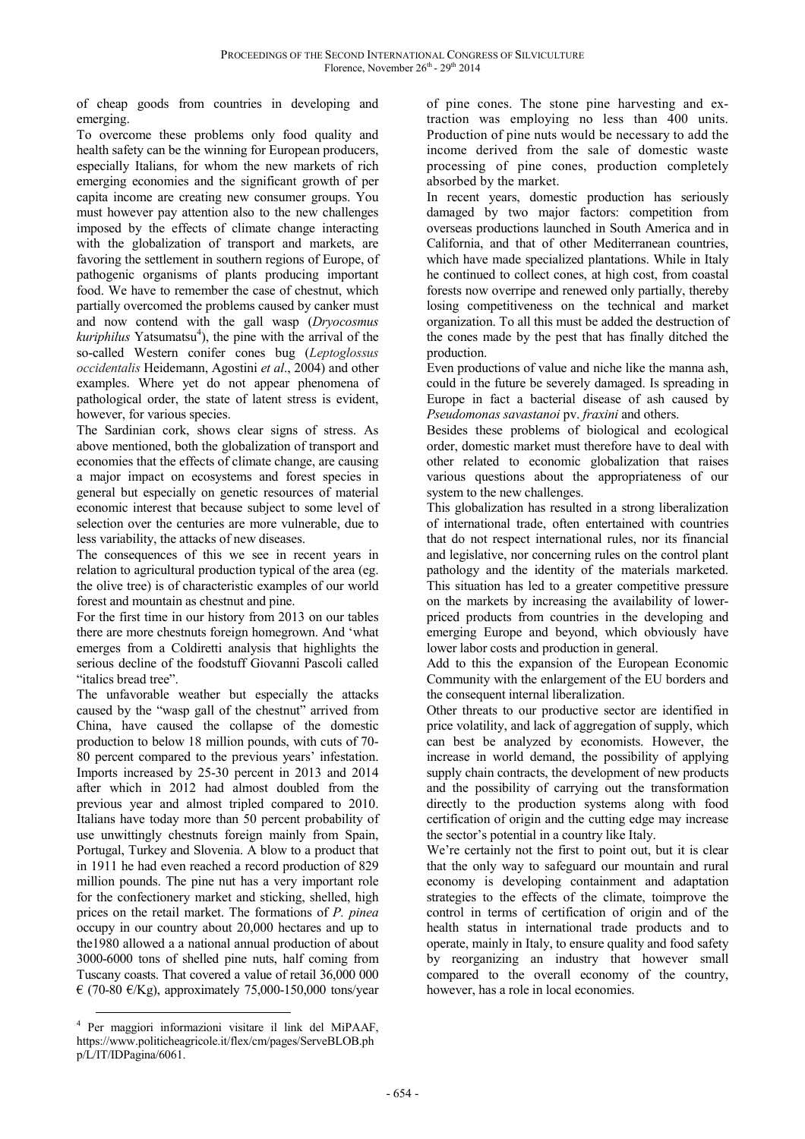of cheap goods from countries in developing and emerging.

To overcome these problems only food quality and health safety can be the winning for European producers, especially Italians, for whom the new markets of rich emerging economies and the significant growth of per capita income are creating new consumer groups. You must however pay attention also to the new challenges imposed by the effects of climate change interacting with the globalization of transport and markets, are favoring the settlement in southern regions of Europe, of pathogenic organisms of plants producing important food. We have to remember the case of chestnut, which partially overcomed the problems caused by canker must and now contend with the gall wasp (*Dryocosmus*  kuriphilus Yatsumatsu<sup>4</sup>), the pine with the arrival of the so-called Western conifer cones bug (*Leptoglossus occidentalis* Heidemann, Agostini *et al*., 2004) and other examples. Where yet do not appear phenomena of pathological order, the state of latent stress is evident, however, for various species.

The Sardinian cork, shows clear signs of stress. As above mentioned, both the globalization of transport and economies that the effects of climate change, are causing a major impact on ecosystems and forest species in general but especially on genetic resources of material economic interest that because subject to some level of selection over the centuries are more vulnerable, due to less variability, the attacks of new diseases.

The consequences of this we see in recent years in relation to agricultural production typical of the area (eg. the olive tree) is of characteristic examples of our world forest and mountain as chestnut and pine.

For the first time in our history from 2013 on our tables there are more chestnuts foreign homegrown. And 'what emerges from a Coldiretti analysis that highlights the serious decline of the foodstuff Giovanni Pascoli called "italics bread tree".

The unfavorable weather but especially the attacks caused by the "wasp gall of the chestnut" arrived from China, have caused the collapse of the domestic production to below 18 million pounds, with cuts of 70- 80 percent compared to the previous years' infestation. Imports increased by 25-30 percent in 2013 and 2014 after which in 2012 had almost doubled from the previous year and almost tripled compared to 2010. Italians have today more than 50 percent probability of use unwittingly chestnuts foreign mainly from Spain, Portugal, Turkey and Slovenia. A blow to a product that in 1911 he had even reached a record production of 829 million pounds. The pine nut has a very important role for the confectionery market and sticking, shelled, high prices on the retail market. The formations of *P. pinea* occupy in our country about 20,000 hectares and up to the1980 allowed a a national annual production of about 3000-6000 tons of shelled pine nuts, half coming from Tuscany coasts. That covered a value of retail 36,000 000  $\in$  (70-80  $\in$ /Kg), approximately 75,000-150,000 tons/year

 $\overline{a}$ 4 Per maggiori informazioni visitare il link del MiPAAF, https://www.politicheagricole.it/flex/cm/pages/ServeBLOB.ph p/L/IT/IDPagina/6061.

of pine cones. The stone pine harvesting and extraction was employing no less than 400 units. Production of pine nuts would be necessary to add the income derived from the sale of domestic waste processing of pine cones, production completely absorbed by the market.

In recent years, domestic production has seriously damaged by two major factors: competition from overseas productions launched in South America and in California, and that of other Mediterranean countries, which have made specialized plantations. While in Italy he continued to collect cones, at high cost, from coastal forests now overripe and renewed only partially, thereby losing competitiveness on the technical and market organization. To all this must be added the destruction of the cones made by the pest that has finally ditched the production.

Even productions of value and niche like the manna ash, could in the future be severely damaged. Is spreading in Europe in fact a bacterial disease of ash caused by *Pseudomonas savastanoi* pv. *fraxini* and others.

Besides these problems of biological and ecological order, domestic market must therefore have to deal with other related to economic globalization that raises various questions about the appropriateness of our system to the new challenges.

This globalization has resulted in a strong liberalization of international trade, often entertained with countries that do not respect international rules, nor its financial and legislative, nor concerning rules on the control plant pathology and the identity of the materials marketed. This situation has led to a greater competitive pressure on the markets by increasing the availability of lowerpriced products from countries in the developing and emerging Europe and beyond, which obviously have lower labor costs and production in general.

Add to this the expansion of the European Economic Community with the enlargement of the EU borders and the consequent internal liberalization.

Other threats to our productive sector are identified in price volatility, and lack of aggregation of supply, which can best be analyzed by economists. However, the increase in world demand, the possibility of applying supply chain contracts, the development of new products and the possibility of carrying out the transformation directly to the production systems along with food certification of origin and the cutting edge may increase the sector's potential in a country like Italy.

We're certainly not the first to point out, but it is clear that the only way to safeguard our mountain and rural economy is developing containment and adaptation strategies to the effects of the climate, toimprove the control in terms of certification of origin and of the health status in international trade products and to operate, mainly in Italy, to ensure quality and food safety by reorganizing an industry that however small compared to the overall economy of the country, however, has a role in local economies.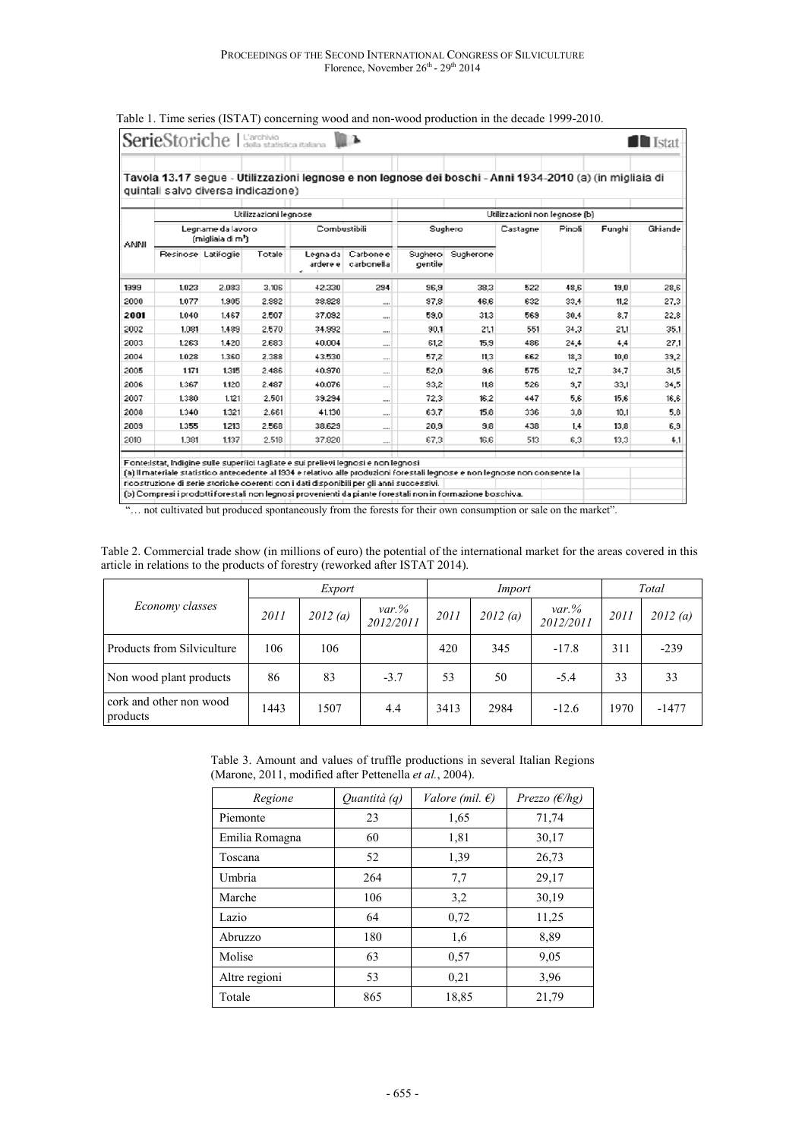|             |                                                    | quintali salvo diversa indicazione) |        |              | Tavola 13.17 segue - Utilizzazioni legnose e non legnose dei boschi - Anni 1934-2010 (a) (in migliaia di |                               |           |          |        |        |         |
|-------------|----------------------------------------------------|-------------------------------------|--------|--------------|----------------------------------------------------------------------------------------------------------|-------------------------------|-----------|----------|--------|--------|---------|
|             | Utilizzazioni legnose                              |                                     |        |              |                                                                                                          | Utilizzazioni non legnose (b) |           |          |        |        |         |
| <b>ANNI</b> | Legname da lavoro<br>(migliaia di m <sup>a</sup> ì |                                     |        | Combustibili |                                                                                                          | Sughero                       |           | Castagne | Pinoli | Funghi | Ghiande |
|             |                                                    | Resinose Latifoglie                 | Totale | ardere el    | Legna da Carbone e<br>carbonella                                                                         | Suchero<br>gentile            | Sugherone |          |        |        |         |
| 1999        | 1.023                                              | 2.083                               | 3,106  | 42.330       | 294                                                                                                      | 96.9                          | 38.3      | 522      | 48.6   | 19.0   | 28.6    |
| 2000        | 1.077                                              | 1.905                               | 2.982  | 38.828       | <b>COLO</b>                                                                                              | 97.8                          | 46.6      | 632      | 33.4   | 11.2   | 27.3    |
| 2001        | 1.040                                              | 1.467                               | 2.507  | 37.092       | 1000                                                                                                     | 59.0                          | 31.3      | 569      | 30.4   | 8.7    | 22.8    |
| 2002        | 1,081                                              | 1.489                               | 2.570  | 34.992       | <b>COLOR</b>                                                                                             | 90.1                          | 211       | 551      | 34.3   | 21.1   | 35.1    |
| 2003        | 1.263                                              | 1.420                               | 2.683  | 40.004       | 18.00                                                                                                    | 61,2                          | 15,9      | 486      | 24.4   | 4.4    | 27.1    |
| 2004        | 1.028                                              | 1,360                               | 2.388  | 43.530       |                                                                                                          | 57.2                          | 11.3      | 662      | 18,3   | 10,0.  | 39,2    |
| 2005        | 1.171                                              | 1.315                               | 2.486  | 40.970       | ----                                                                                                     | 52.0                          | 9,6       | 575      | 12.7   | 34.7   | 31,5    |
| 2006        | 1.367                                              | 1.120                               | 2.487  | 40.076       | $\cdots$                                                                                                 | 93.2                          | 11.8      | 526      | 3.7    | 33.1   | 34.5    |
| 2007        | 1,380                                              | 1.121                               | 2.501  | 39.294       | $\cdots$                                                                                                 | 72.3                          | 16.2      | 447      | 5,6    | 15.6   | 16,6    |
| 2008        | 1.340                                              | 1.321                               | 2.661  | 41.130       | $\cdots$                                                                                                 | 63.7                          | 15.8      | 336      | 3,8    | 10.1   | 5,8     |
| 2003        | 1.355                                              | 1213                                | 2.568  | 38.629       |                                                                                                          | 20.3                          | 38        | 438      | 14     | 13.8   | 6.3     |
| 2010        | 1,381                                              | 1,137                               | 2.518  | 37,820       |                                                                                                          | 67.3                          | 16.6      | 513      | 6,3    | 13,3   | 4.1     |

#### Table 1. Time series (ISTAT) concerning wood and non-wood production in the decade 1999-2010.

"... not cultivated but produced spontaneously from the forests for their own consumption or sale on the market".

| Table 2. Commercial trade show (in millions of euro) the potential of the international market for the areas covered in this |  |
|------------------------------------------------------------------------------------------------------------------------------|--|
| article in relations to the products of forestry (reworked after ISTAT 2014).                                                |  |

|                                     | Export |         |                      |      | Import  | Total                |      |         |
|-------------------------------------|--------|---------|----------------------|------|---------|----------------------|------|---------|
| Economy classes                     | 2011   | 2012(a) | $var$ %<br>2012/2011 | 2011 | 2012(a) | $var$ %<br>2012/2011 | 2011 | 2012(a) |
| Products from Silviculture          | 106    | 106     |                      | 420  | 345     | $-17.8$              | 311  | $-239$  |
| Non wood plant products             | 86     | 83      | $-3.7$               | 53   | 50      | $-5.4$               | 33   | 33      |
| cork and other non wood<br>products | 1443   | 1507    | 4.4                  | 3413 | 2984    | $-12.6$              | 1970 | $-1477$ |

Table 3. Amount and values of truffle productions in several Italian Regions (Marone, 2011, modified after Pettenella *et al.*, 2004).

| Regione        | Quantità (q) | <i>Valore (mil. <math>\epsilon</math>)</i> | Prezzo $(\epsilon/hg)$ |  |
|----------------|--------------|--------------------------------------------|------------------------|--|
| Piemonte       | 23           | 1,65                                       | 71,74                  |  |
| Emilia Romagna | 60           | 1,81                                       | 30,17                  |  |
| Toscana        | 52           | 1,39                                       | 26,73                  |  |
| Umbria         | 264          | 7,7                                        | 29,17                  |  |
| Marche         | 106          | 3,2                                        | 30,19                  |  |
| Lazio          | 64           | 0,72                                       | 11,25                  |  |
| Abruzzo        | 180          | 1,6                                        | 8,89                   |  |
| Molise         | 63           | 0.57                                       | 9,05                   |  |
| Altre regioni  | 53           | 0,21                                       | 3,96                   |  |
| Totale         | 865          | 18,85                                      | 21,79                  |  |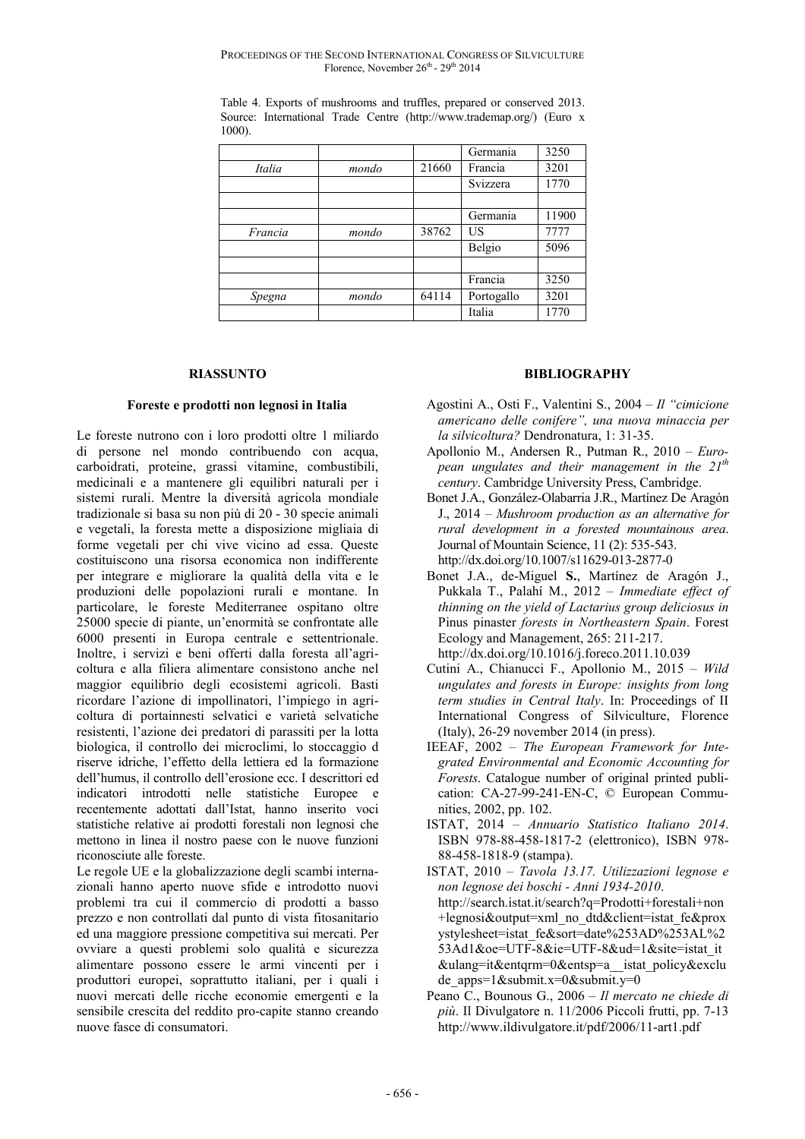|         |       |       | Germania   | 3250  |
|---------|-------|-------|------------|-------|
| Italia  | mondo | 21660 | Francia    | 3201  |
|         |       |       | Svizzera   | 1770  |
|         |       |       |            |       |
|         |       |       | Germania   | 11900 |
| Francia | mondo | 38762 | US         | 7777  |
|         |       |       | Belgio     | 5096  |
|         |       |       |            |       |
|         |       |       | Francia    | 3250  |
| Spegna  | mondo | 64114 | Portogallo | 3201  |
|         |       |       | Italia     | 1770  |

Table 4. Exports of mushrooms and truffles, prepared or conserved 2013. Source: International Trade Centre (http://www.trademap.org/) (Euro x 1000).

#### **RIASSUNTO**

#### **Foreste e prodotti non legnosi in Italia**

Le foreste nutrono con i loro prodotti oltre 1 miliardo di persone nel mondo contribuendo con acqua, carboidrati, proteine, grassi vitamine, combustibili, medicinali e a mantenere gli equilibri naturali per i sistemi rurali. Mentre la diversità agricola mondiale tradizionale si basa su non più di 20 - 30 specie animali e vegetali, la foresta mette a disposizione migliaia di forme vegetali per chi vive vicino ad essa. Queste costituiscono una risorsa economica non indifferente per integrare e migliorare la qualità della vita e le produzioni delle popolazioni rurali e montane. In particolare, le foreste Mediterranee ospitano oltre 25000 specie di piante, un'enormità se confrontate alle 6000 presenti in Europa centrale e settentrionale. Inoltre, i servizi e beni offerti dalla foresta all'agricoltura e alla filiera alimentare consistono anche nel maggior equilibrio degli ecosistemi agricoli. Basti ricordare l'azione di impollinatori, l'impiego in agricoltura di portainnesti selvatici e varietà selvatiche resistenti, l'azione dei predatori di parassiti per la lotta biologica, il controllo dei microclimi, lo stoccaggio d riserve idriche, l'effetto della lettiera ed la formazione dell'humus, il controllo dell'erosione ecc. I descrittori ed indicatori introdotti nelle statistiche Europee e recentemente adottati dall'Istat, hanno inserito voci statistiche relative ai prodotti forestali non legnosi che mettono in linea il nostro paese con le nuove funzioni riconosciute alle foreste.

Le regole UE e la globalizzazione degli scambi internazionali hanno aperto nuove sfide e introdotto nuovi problemi tra cui il commercio di prodotti a basso prezzo e non controllati dal punto di vista fitosanitario ed una maggiore pressione competitiva sui mercati. Per ovviare a questi problemi solo qualità e sicurezza alimentare possono essere le armi vincenti per i produttori europei, soprattutto italiani, per i quali i nuovi mercati delle ricche economie emergenti e la sensibile crescita del reddito pro-capite stanno creando nuove fasce di consumatori.

## **BIBLIOGRAPHY**

- Agostini A., Osti F., Valentini S., 2004 *Il "cimicione americano delle conifere", una nuova minaccia per la silvicoltura?* Dendronatura, 1: 31-35.
- Apollonio M., Andersen R., Putman R., 2010 *European ungulates and their management in the 21th century*. Cambridge University Press, Cambridge.
- Bonet J.A., González-Olabarria J.R., Martínez De Aragón J., 2014 – *Mushroom production as an alternative for rural development in a forested mountainous area*. Journal of Mountain Science, 11 (2): 535-543. http://dx.doi.org/10.1007/s11629-013-2877-0
- Bonet J.A., de-Miguel **S.**, Martínez de Aragón J., Pukkala T., Palahí M., 2012 – *Immediate effect of thinning on the yield of Lactarius group deliciosus in*  Pinus pinaster *forests in Northeastern Spain*. Forest Ecology and Management, 265: 211-217. http://dx.doi.org/10.1016/j.foreco.2011.10.039
- Cutini A., Chianucci F., Apollonio M., 2015 *Wild ungulates and forests in Europe: insights from long term studies in Central Italy*. In: Proceedings of II International Congress of Silviculture, Florence (Italy), 26-29 november 2014 (in press).
- IEEAF, 2002 *The European Framework for Integrated Environmental and Economic Accounting for Forests*. Catalogue number of original printed publication: CA-27-99-241-EN-C, © European Communities, 2002, pp. 102.
- ISTAT, 2014 *Annuario Statistico Italiano 2014*. ISBN 978-88-458-1817-2 (elettronico), ISBN 978- 88-458-1818-9 (stampa).
- ISTAT, 2010 *Tavola 13.17. Utilizzazioni legnose e non legnose dei boschi - Anni 1934-2010*. http://search.istat.it/search?q=Prodotti+forestali+non +legnosi&output=xml\_no\_dtd&client=istat\_fe&prox ystylesheet=istat\_fe&sort=date%253AD%253AL%2 53Ad1&oe=UTF-8&ie=UTF-8&ud=1&site=istat\_it &ulang=it&entqrm=0&entsp=a\_\_istat\_policy&exclu de apps=1&submit.x=0&submit.y=0
- Peano C., Bounous G., 2006 *Il mercato ne chiede di più*. Il Divulgatore n. 11/2006 Piccoli frutti, pp. 7-13 http://www.ildivulgatore.it/pdf/2006/11-art1.pdf